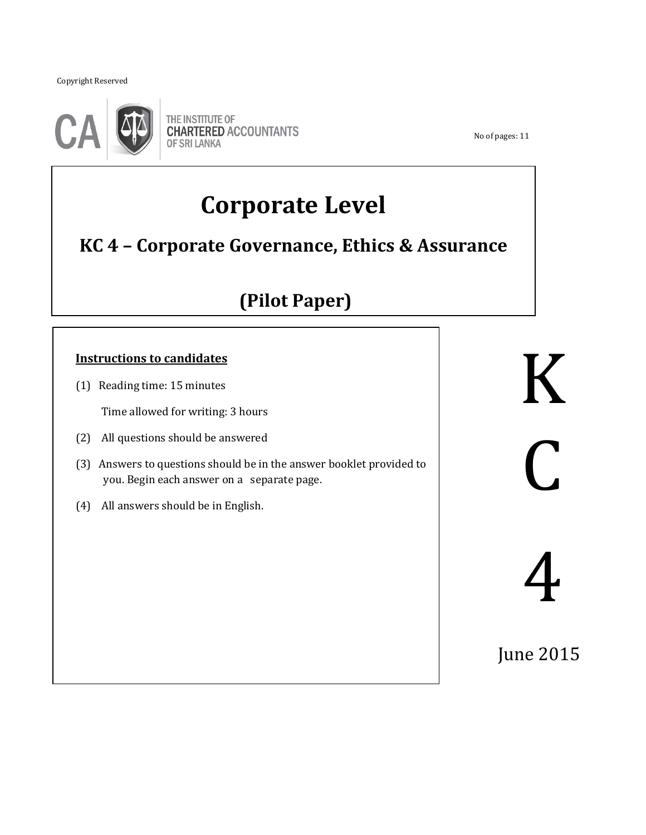Copyright Reserved

֖֖֖֖֚֚֚֚֚֬



THE INSTITUTE OF **CHARTERED ACCOUNTANTS OF SRI LANKA** 

No of pages: 11

# **Corporate Level**

# **KC 4 – Corporate Governance, Ethics & Assurance**

# **(Pilot Paper)**

# **Instructions to candidates**

(1) Reading time: 15 minutes

Time allowed for writing: 3 hours

- (2) All questions should be answered
- (3) Answers to questions should be in the answer booklet provided to you. Begin each answer on a separate page.

֖֖֖֖֚֚֚֚֚֬

(4) All answers should be in English.

K  $\bigcap$ 

4

June 2015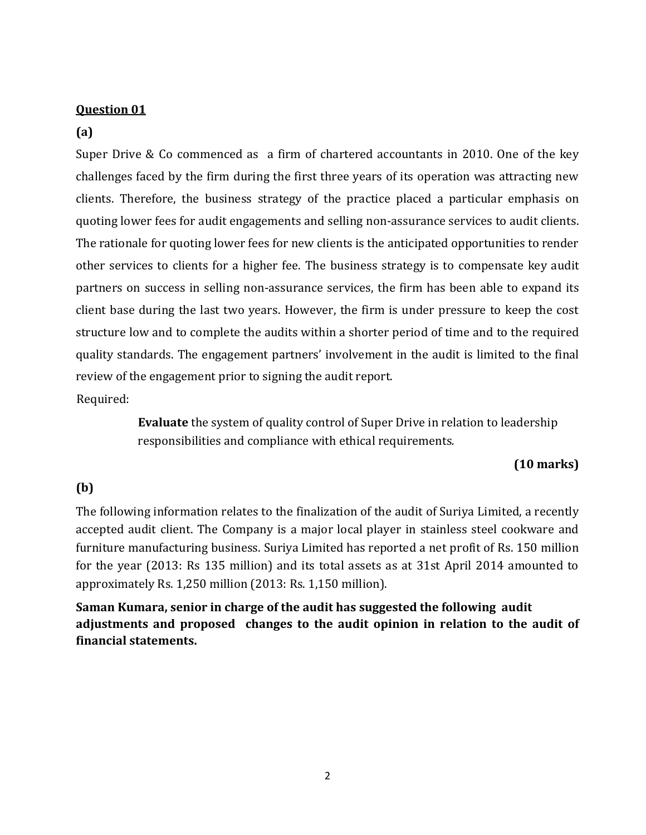#### **Question 01**

#### **(a)**

Super Drive & Co commenced as a firm of chartered accountants in 2010. One of the key challenges faced by the firm during the first three years of its operation was attracting new clients. Therefore, the business strategy of the practice placed a particular emphasis on quoting lower fees for audit engagements and selling non-assurance services to audit clients. The rationale for quoting lower fees for new clients is the anticipated opportunities to render other services to clients for a higher fee. The business strategy is to compensate key audit partners on success in selling non-assurance services, the firm has been able to expand its client base during the last two years. However, the firm is under pressure to keep the cost structure low and to complete the audits within a shorter period of time and to the required quality standards. The engagement partners' involvement in the audit is limited to the final review of the engagement prior to signing the audit report. Required:

> **Evaluate** the system of quality control of Super Drive in relation to leadership responsibilities and compliance with ethical requirements*.*

#### **(10 marks)**

#### **(b)**

The following information relates to the finalization of the audit of Suriya Limited, a recently accepted audit client. The Company is a major local player in stainless steel cookware and furniture manufacturing business. Suriya Limited has reported a net profit of Rs. 150 million for the year (2013: Rs 135 million) and its total assets as at 31st April 2014 amounted to approximately Rs. 1,250 million (2013: Rs. 1,150 million).

**Saman Kumara, senior in charge of the audit has suggested the following audit adjustments and proposed changes to the audit opinion in relation to the audit of financial statements.**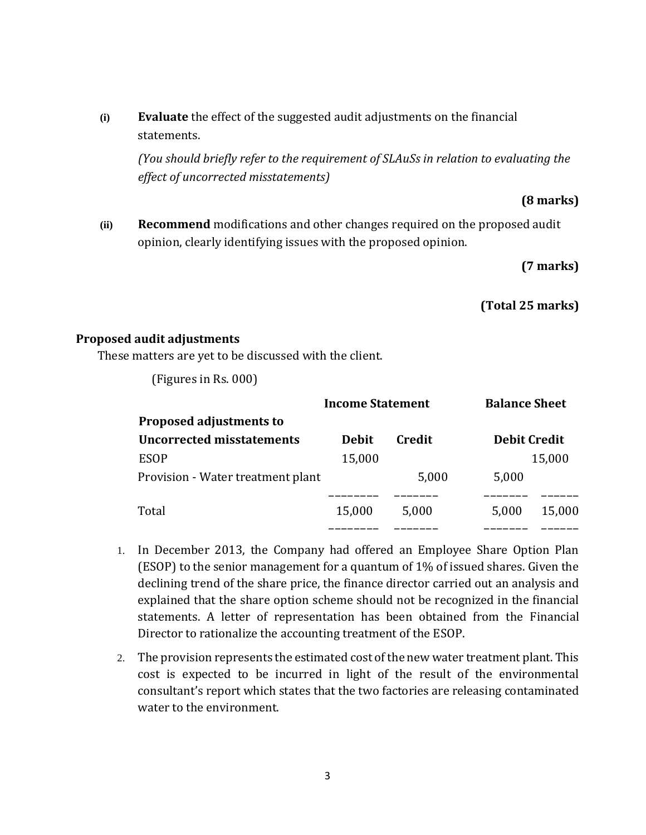**(i) Evaluate** the effect of the suggested audit adjustments on the financial statements.

*(You should briefly refer to the requirement of SLAuSs in relation to evaluating the effect of uncorrected misstatements)*

#### **(8 marks)**

**(ii) Recommend** modifications and other changes required on the proposed audit opinion, clearly identifying issues with the proposed opinion.

#### **(7 marks)**

 **(Total 25 marks)**

#### **Proposed audit adjustments**

These matters are yet to be discussed with the client.

(Figures in Rs. 000)

|                                   | <b>Income Statement</b> |        | <b>Balance Sheet</b> |        |
|-----------------------------------|-------------------------|--------|----------------------|--------|
| <b>Proposed adjustments to</b>    |                         |        |                      |        |
| Uncorrected misstatements         | <b>Debit</b>            | Credit | <b>Debit Credit</b>  |        |
| <b>ESOP</b>                       | 15,000                  |        |                      | 15,000 |
| Provision - Water treatment plant |                         | 5,000  | 5,000                |        |
|                                   |                         |        |                      |        |
| Total                             | 15,000                  | 5,000  | 5,000                | 15,000 |
|                                   |                         |        |                      |        |

- 1. In December 2013, the Company had offered an Employee Share Option Plan (ESOP) to the senior management for a quantum of 1% of issued shares. Given the declining trend of the share price, the finance director carried out an analysis and explained that the share option scheme should not be recognized in the financial statements. A letter of representation has been obtained from the Financial Director to rationalize the accounting treatment of the ESOP.
- 2. The provision represents the estimated cost of the new water treatment plant. This cost is expected to be incurred in light of the result of the environmental consultant's report which states that the two factories are releasing contaminated water to the environment.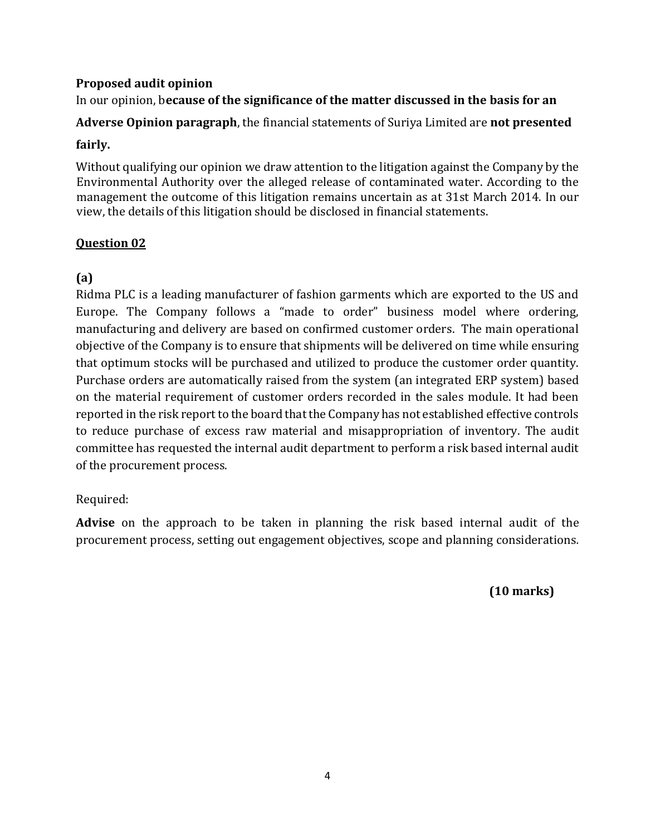#### **Proposed audit opinion**

# In our opinion, b**ecause of the significance of the matter discussed in the basis for an**

**Adverse Opinion paragraph**, the financial statements of Suriya Limited are **not presented** 

#### **fairly.**

Without qualifying our opinion we draw attention to the litigation against the Company by the Environmental Authority over the alleged release of contaminated water. According to the management the outcome of this litigation remains uncertain as at 31st March 2014. In our view, the details of this litigation should be disclosed in financial statements.

# **Question 02**

# **(a)**

Ridma PLC is a leading manufacturer of fashion garments which are exported to the US and Europe. The Company follows a "made to order" business model where ordering, manufacturing and delivery are based on confirmed customer orders. The main operational objective of the Company is to ensure that shipments will be delivered on time while ensuring that optimum stocks will be purchased and utilized to produce the customer order quantity. Purchase orders are automatically raised from the system (an integrated ERP system) based on the material requirement of customer orders recorded in the sales module. It had been reported in the risk report to the board that the Company has not established effective controls to reduce purchase of excess raw material and misappropriation of inventory. The audit committee has requested the internal audit department to perform a risk based internal audit of the procurement process.

# Required:

**Advise** on the approach to be taken in planning the risk based internal audit of the procurement process, setting out engagement objectives, scope and planning considerations*.*

 **(10 marks)**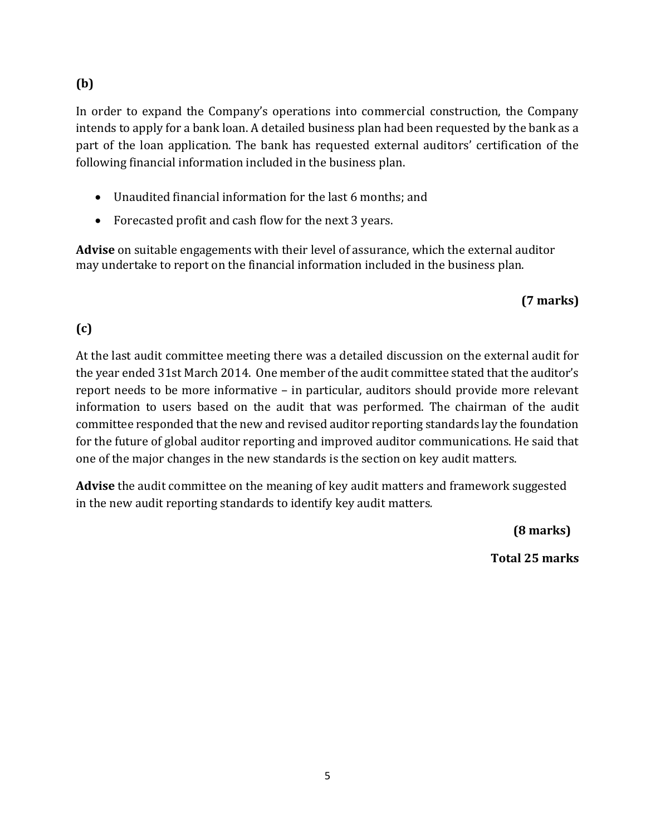# **(b)**

In order to expand the Company's operations into commercial construction, the Company intends to apply for a bank loan. A detailed business plan had been requested by the bank as a part of the loan application. The bank has requested external auditors' certification of the following financial information included in the business plan.

- Unaudited financial information for the last 6 months; and
- Forecasted profit and cash flow for the next 3 years.

**Advise** on suitable engagements with their level of assurance, which the external auditor may undertake to report on the financial information included in the business plan.

# **(7 marks)**

# **(c)**

At the last audit committee meeting there was a detailed discussion on the external audit for the year ended 31st March 2014. One member of the audit committee stated that the auditor's report needs to be more informative – in particular, auditors should provide more relevant information to users based on the audit that was performed. The chairman of the audit committee responded that the new and revised auditor reporting standards lay the foundation for the future of global auditor reporting and improved auditor communications. He said that one of the major changes in the new standards is the section on key audit matters.

**Advise** the audit committee on the meaning of key audit matters and framework suggested in the new audit reporting standards to identify key audit matters*.*

 **(8 marks)**

 **Total 25 marks**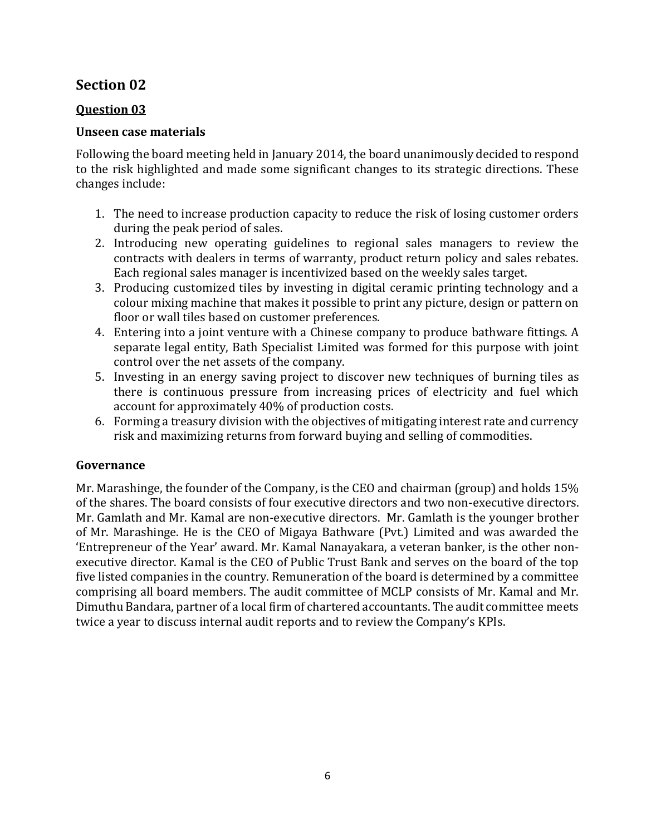# **Section 02**

# **Question 03**

# **Unseen case materials**

Following the board meeting held in January 2014, the board unanimously decided to respond to the risk highlighted and made some significant changes to its strategic directions. These changes include:

- 1. The need to increase production capacity to reduce the risk of losing customer orders during the peak period of sales.
- 2. Introducing new operating guidelines to regional sales managers to review the contracts with dealers in terms of warranty, product return policy and sales rebates. Each regional sales manager is incentivized based on the weekly sales target.
- 3. Producing customized tiles by investing in digital ceramic printing technology and a colour mixing machine that makes it possible to print any picture, design or pattern on floor or wall tiles based on customer preferences.
- 4. Entering into a joint venture with a Chinese company to produce bathware fittings. A separate legal entity, Bath Specialist Limited was formed for this purpose with joint control over the net assets of the company.
- 5. Investing in an energy saving project to discover new techniques of burning tiles as there is continuous pressure from increasing prices of electricity and fuel which account for approximately 40% of production costs.
- 6. Forming a treasury division with the objectives of mitigating interest rate and currency risk and maximizing returns from forward buying and selling of commodities.

# **Governance**

Mr. Marashinge, the founder of the Company, is the CEO and chairman (group) and holds 15% of the shares. The board consists of four executive directors and two non-executive directors. Mr. Gamlath and Mr. Kamal are non-executive directors. Mr. Gamlath is the younger brother of Mr. Marashinge. He is the CEO of Migaya Bathware (Pvt.) Limited and was awarded the 'Entrepreneur of the Year' award. Mr. Kamal Nanayakara, a veteran banker, is the other nonexecutive director. Kamal is the CEO of Public Trust Bank and serves on the board of the top five listed companies in the country. Remuneration of the board is determined by a committee comprising all board members. The audit committee of MCLP consists of Mr. Kamal and Mr. Dimuthu Bandara, partner of a local firm of chartered accountants. The audit committee meets twice a year to discuss internal audit reports and to review the Company's KPIs.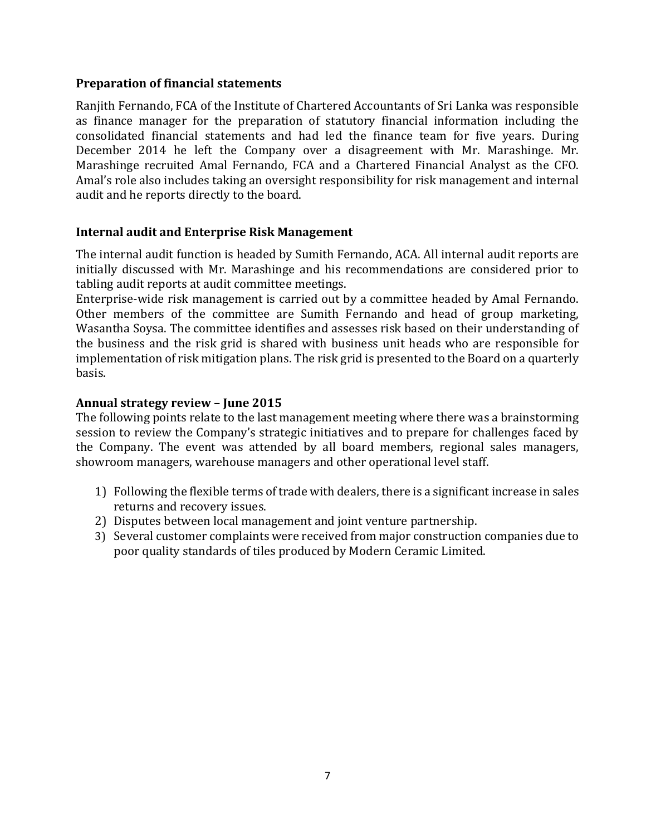#### **Preparation of financial statements**

Ranjith Fernando, FCA of the Institute of Chartered Accountants of Sri Lanka was responsible as finance manager for the preparation of statutory financial information including the consolidated financial statements and had led the finance team for five years. During December 2014 he left the Company over a disagreement with Mr. Marashinge. Mr. Marashinge recruited Amal Fernando, FCA and a Chartered Financial Analyst as the CFO. Amal's role also includes taking an oversight responsibility for risk management and internal audit and he reports directly to the board.

#### **Internal audit and Enterprise Risk Management**

The internal audit function is headed by Sumith Fernando, ACA. All internal audit reports are initially discussed with Mr. Marashinge and his recommendations are considered prior to tabling audit reports at audit committee meetings.

Enterprise-wide risk management is carried out by a committee headed by Amal Fernando. Other members of the committee are Sumith Fernando and head of group marketing, Wasantha Soysa. The committee identifies and assesses risk based on their understanding of the business and the risk grid is shared with business unit heads who are responsible for implementation of risk mitigation plans. The risk grid is presented to the Board on a quarterly basis.

#### **Annual strategy review – June 2015**

The following points relate to the last management meeting where there was a brainstorming session to review the Company's strategic initiatives and to prepare for challenges faced by the Company. The event was attended by all board members, regional sales managers, showroom managers, warehouse managers and other operational level staff.

- 1) Following the flexible terms of trade with dealers, there is a significant increase in sales returns and recovery issues.
- 2) Disputes between local management and joint venture partnership.
- 3) Several customer complaints were received from major construction companies due to poor quality standards of tiles produced by Modern Ceramic Limited.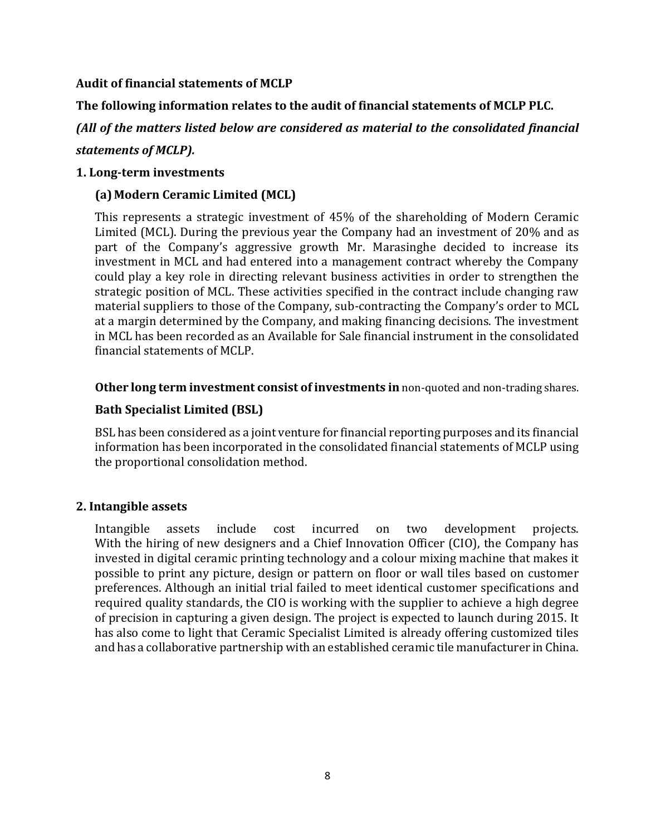#### **Audit of financial statements of MCLP**

**The following information relates to the audit of financial statements of MCLP PLC.** 

*(All of the matters listed below are considered as material to the consolidated financial statements of MCLP).*

#### **1. Long-term investments**

# **(a) Modern Ceramic Limited (MCL)**

This represents a strategic investment of 45% of the shareholding of Modern Ceramic Limited (MCL). During the previous year the Company had an investment of 20% and as part of the Company's aggressive growth Mr. Marasinghe decided to increase its investment in MCL and had entered into a management contract whereby the Company could play a key role in directing relevant business activities in order to strengthen the strategic position of MCL. These activities specified in the contract include changing raw material suppliers to those of the Company, sub-contracting the Company's order to MCL at a margin determined by the Company, and making financing decisions. The investment in MCL has been recorded as an Available for Sale financial instrument in the consolidated financial statements of MCLP.

#### **Other long term investment consist of investments in** non-quoted and non-trading shares.

# **Bath Specialist Limited (BSL)**

BSL has been considered as a joint venture for financial reporting purposes and its financial information has been incorporated in the consolidated financial statements of MCLP using the proportional consolidation method.

# **2. Intangible assets**

Intangible assets include cost incurred on two development projects. With the hiring of new designers and a Chief Innovation Officer (CIO), the Company has invested in digital ceramic printing technology and a colour mixing machine that makes it possible to print any picture, design or pattern on floor or wall tiles based on customer preferences. Although an initial trial failed to meet identical customer specifications and required quality standards, the CIO is working with the supplier to achieve a high degree of precision in capturing a given design. The project is expected to launch during 2015. It has also come to light that Ceramic Specialist Limited is already offering customized tiles and has a collaborative partnership with an established ceramic tile manufacturer in China.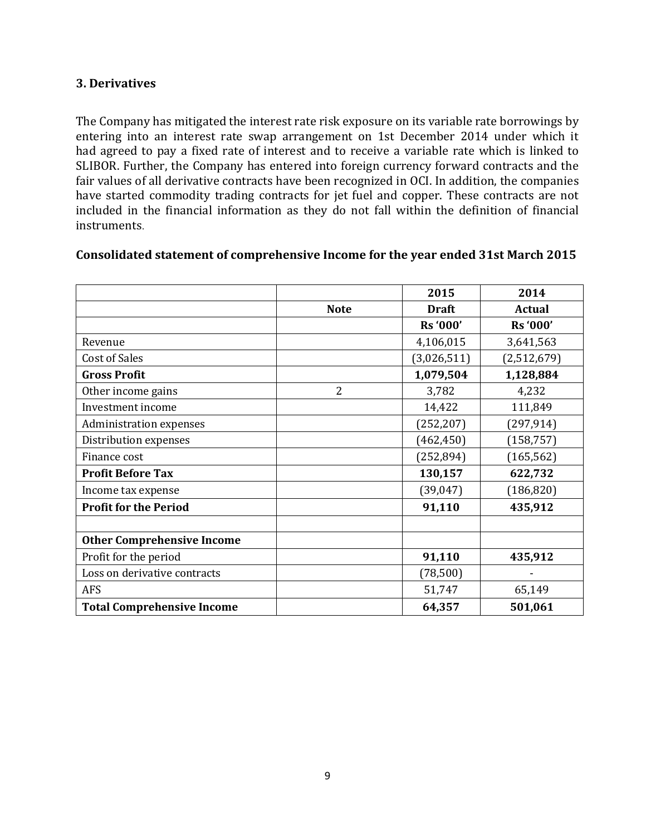#### **3. Derivatives**

The Company has mitigated the interest rate risk exposure on its variable rate borrowings by entering into an interest rate swap arrangement on 1st December 2014 under which it had agreed to pay a fixed rate of interest and to receive a variable rate which is linked to SLIBOR. Further, the Company has entered into foreign currency forward contracts and the fair values of all derivative contracts have been recognized in OCI. In addition, the companies have started commodity trading contracts for jet fuel and copper. These contracts are not included in the financial information as they do not fall within the definition of financial instruments.

|                                   |                | 2015         | 2014        |
|-----------------------------------|----------------|--------------|-------------|
|                                   | <b>Note</b>    | <b>Draft</b> | Actual      |
|                                   |                | Rs '000'     | Rs '000'    |
| Revenue                           |                | 4,106,015    | 3,641,563   |
| Cost of Sales                     |                | (3,026,511)  | (2,512,679) |
| <b>Gross Profit</b>               |                | 1,079,504    | 1,128,884   |
| Other income gains                | $\overline{2}$ | 3,782        | 4,232       |
| Investment income                 |                | 14,422       | 111,849     |
| Administration expenses           |                | (252, 207)   | (297, 914)  |
| Distribution expenses             |                | (462, 450)   | (158, 757)  |
| Finance cost                      |                | (252, 894)   | (165, 562)  |
| <b>Profit Before Tax</b>          |                | 130,157      | 622,732     |
| Income tax expense                |                | (39, 047)    | (186, 820)  |
| <b>Profit for the Period</b>      |                | 91,110       | 435,912     |
|                                   |                |              |             |
| <b>Other Comprehensive Income</b> |                |              |             |
| Profit for the period             |                | 91,110       | 435,912     |
| Loss on derivative contracts      |                | (78, 500)    |             |
| <b>AFS</b>                        |                | 51,747       | 65,149      |
| <b>Total Comprehensive Income</b> |                | 64,357       | 501,061     |

#### **Consolidated statement of comprehensive Income for the year ended 31st March 2015**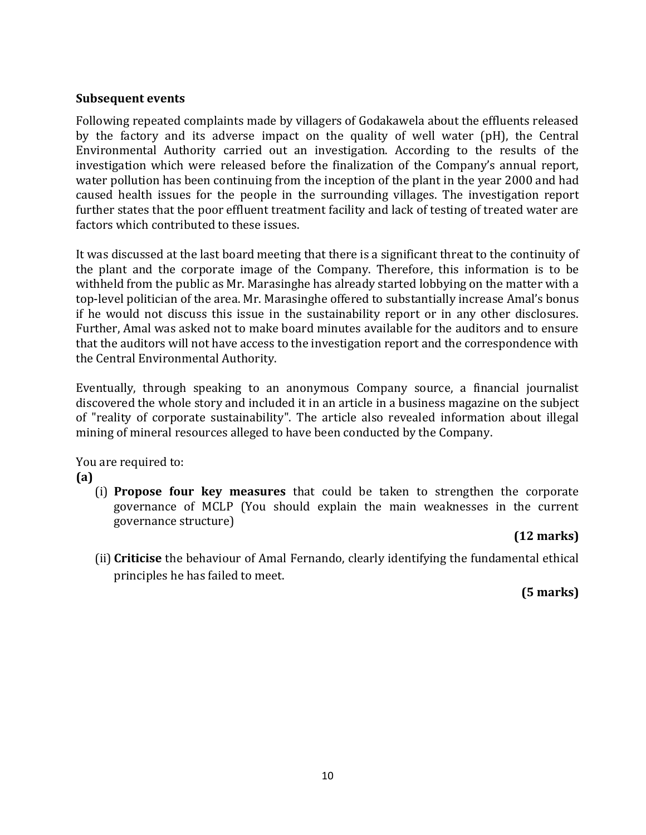#### **Subsequent events**

Following repeated complaints made by villagers of Godakawela about the effluents released by the factory and its adverse impact on the quality of well water (pH), the Central Environmental Authority carried out an investigation. According to the results of the investigation which were released before the finalization of the Company's annual report, water pollution has been continuing from the inception of the plant in the year 2000 and had caused health issues for the people in the surrounding villages. The investigation report further states that the poor effluent treatment facility and lack of testing of treated water are factors which contributed to these issues.

It was discussed at the last board meeting that there is a significant threat to the continuity of the plant and the corporate image of the Company. Therefore, this information is to be withheld from the public as Mr. Marasinghe has already started lobbying on the matter with a top-level politician of the area. Mr. Marasinghe offered to substantially increase Amal's bonus if he would not discuss this issue in the sustainability report or in any other disclosures. Further, Amal was asked not to make board minutes available for the auditors and to ensure that the auditors will not have access to the investigation report and the correspondence with the Central Environmental Authority.

Eventually, through speaking to an anonymous Company source, a financial journalist discovered the whole story and included it in an article in a business magazine on the subject of "reality of corporate sustainability". The article also revealed information about illegal mining of mineral resources alleged to have been conducted by the Company.

You are required to:

#### **(a)**

(i) **Propose four key measures** that could be taken to strengthen the corporate governance of MCLP (You should explain the main weaknesses in the current governance structure)

#### **(12 marks)**

(ii) **Criticise** the behaviour of Amal Fernando, clearly identifying the fundamental ethical principles he has failed to meet.

# **(5 marks)**